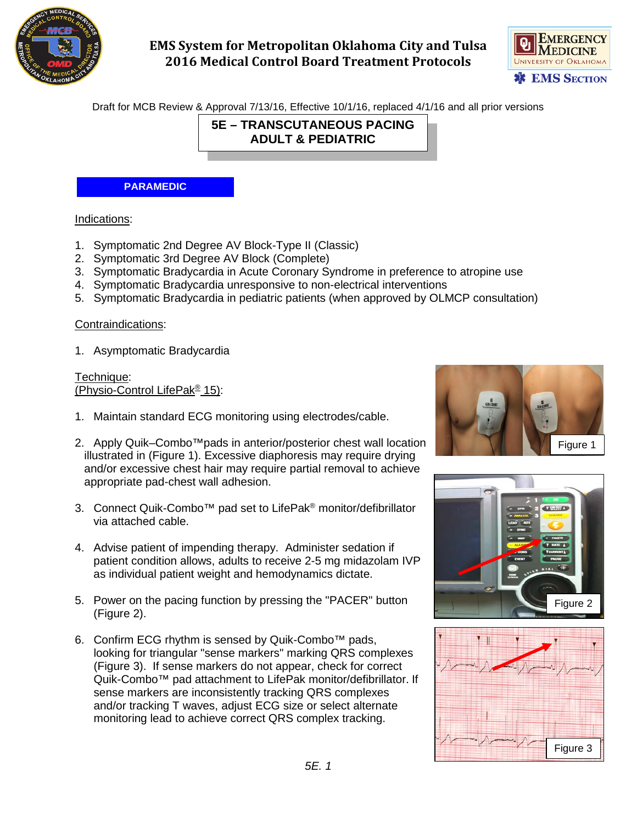

# **EMS System for Metropolitan Oklahoma City and Tulsa 2016 Medical Control Board Treatment Protocols**



Draft for MCB Review & Approval 7/13/16, Effective 10/1/16, replaced 4/1/16 and all prior versions

**5E – TRANSCUTANEOUS PACING ADULT & PEDIATRIC**

#### **PARAMEDIC**

#### Indications:

- 1. Symptomatic 2nd Degree AV Block-Type II (Classic)
- 2. Symptomatic 3rd Degree AV Block (Complete)
- 3. Symptomatic Bradycardia in Acute Coronary Syndrome in preference to atropine use
- 4. Symptomatic Bradycardia unresponsive to non-electrical interventions
- 5. Symptomatic Bradycardia in pediatric patients (when approved by OLMCP consultation)

#### Contraindications:

1. Asymptomatic Bradycardia

Technique: (Physio-Control LifePak® 15):

- 1. Maintain standard ECG monitoring using electrodes/cable.
- 2. Apply Quik–Combo™pads in anterior/posterior chest wall location illustrated in (Figure 1). Excessive diaphoresis may require drying and/or excessive chest hair may require partial removal to achieve appropriate pad-chest wall adhesion.
- 3. Connect Quik-Combo™ pad set to LifePak® monitor/defibrillator via attached cable.
- 4. Advise patient of impending therapy. Administer sedation if patient condition allows, adults to receive 2-5 mg midazolam IVP as individual patient weight and hemodynamics dictate.
- 5. Power on the pacing function by pressing the "PACER" button (Figure 2).
- 6. Confirm ECG rhythm is sensed by Quik-Combo™ pads, looking for triangular "sense markers" marking QRS complexes (Figure 3). If sense markers do not appear, check for correct Quik-Combo™ pad attachment to LifePak monitor/defibrillator. If sense markers are inconsistently tracking QRS complexes and/or tracking T waves, adjust ECG size or select alternate monitoring lead to achieve correct QRS complex tracking.





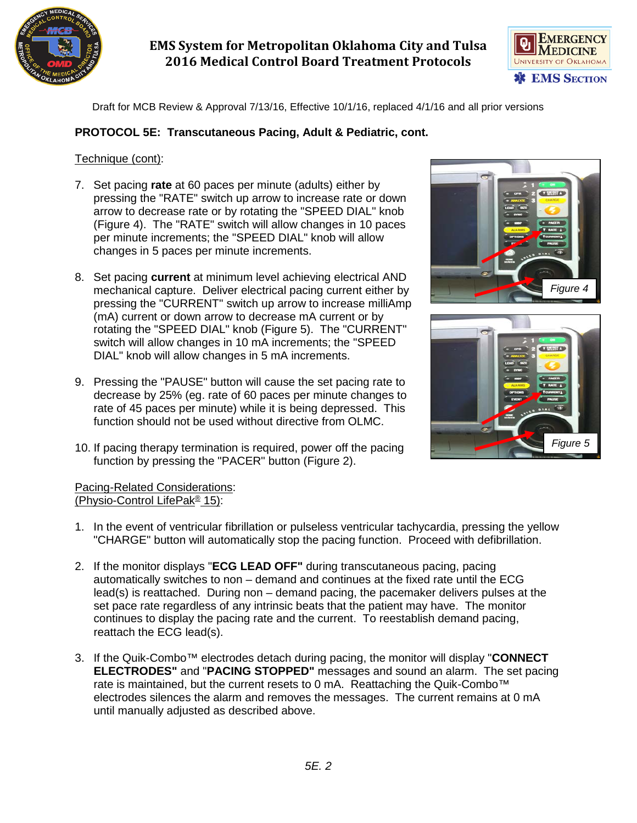

# **EMS System for Metropolitan Oklahoma City and Tulsa 2016 Medical Control Board Treatment Protocols**



Draft for MCB Review & Approval 7/13/16, Effective 10/1/16, replaced 4/1/16 and all prior versions

### **PROTOCOL 5E: Transcutaneous Pacing, Adult & Pediatric, cont.**

#### Technique (cont):

- 7. Set pacing **rate** at 60 paces per minute (adults) either by pressing the "RATE" switch up arrow to increase rate or down arrow to decrease rate or by rotating the "SPEED DIAL" knob (Figure 4). The "RATE" switch will allow changes in 10 paces per minute increments; the "SPEED DIAL" knob will allow changes in 5 paces per minute increments.
- 8. Set pacing **current** at minimum level achieving electrical AND mechanical capture. Deliver electrical pacing current either by pressing the "CURRENT" switch up arrow to increase milliAmp (mA) current or down arrow to decrease mA current or by rotating the "SPEED DIAL" knob (Figure 5). The "CURRENT" switch will allow changes in 10 mA increments; the "SPEED DIAL" knob will allow changes in 5 mA increments.
- 9. Pressing the "PAUSE" button will cause the set pacing rate to decrease by 25% (eg. rate of 60 paces per minute changes to rate of 45 paces per minute) while it is being depressed. This function should not be used without directive from OLMC.
- 10. If pacing therapy termination is required, power off the pacing function by pressing the "PACER" button (Figure 2).





#### Pacing-Related Considerations: (Physio-Control LifePak® 15):

- 1. In the event of ventricular fibrillation or pulseless ventricular tachycardia, pressing the yellow "CHARGE" button will automatically stop the pacing function. Proceed with defibrillation.
- 2. If the monitor displays "**ECG LEAD OFF"** during transcutaneous pacing, pacing automatically switches to non – demand and continues at the fixed rate until the ECG lead(s) is reattached. During non – demand pacing, the pacemaker delivers pulses at the set pace rate regardless of any intrinsic beats that the patient may have. The monitor continues to display the pacing rate and the current. To reestablish demand pacing, reattach the ECG lead(s).
- 3. If the Quik-Combo™ electrodes detach during pacing, the monitor will display "**CONNECT ELECTRODES"** and "**PACING STOPPED"** messages and sound an alarm. The set pacing rate is maintained, but the current resets to 0 mA. Reattaching the Quik-Combo<sup>™</sup> electrodes silences the alarm and removes the messages. The current remains at 0 mA until manually adjusted as described above.